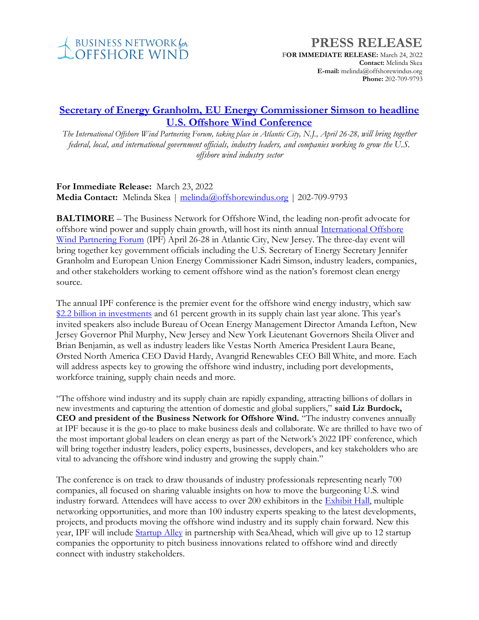

## **PRESS RELEASE**

**FOR IMMEDIATE RELEASE:** March 24, 2022 **Contact:** Melinda Skea **E-mail:** melinda@offshorewindus.org **Phone:** 202-709-9793

## **Secretary of Energy Granholm, EU [Energy Commissioner Simson to headline](https://www.offshorewindus.org/?p=17621)  [U.S. Offshore Wind Conference](https://www.offshorewindus.org/?p=17621)**

*The International Offshore Wind Partnering Forum, taking place in Atlantic City, N.J., April 26-28, will bring together federal, local, and international government officials, industry leaders, and companies working to grow the U.S. offshore wind industry sector*

**For Immediate Release:** March 23, 2022 **Media Contact:** Melinda Skea | [melinda@offshorewindus.org](mailto:melinda@offshorewindus.org) | 202-709-9793

**BALTIMORE** – The Business Network for Offshore Wind, the leading non-profit advocate for offshore wind power and supply chain growth, will host its ninth annua[l International Offshore](http://www.2022ipf.com/)  [Wind Partnering Forum](http://www.2022ipf.com/) (IPF) April 26-28 in Atlantic City, New Jersey. The three-day event will bring together key government officials including the U.S. Secretary of Energy Secretary Jennifer Granholm and European Union Energy Commissioner Kadri Simson, industry leaders, companies, and other stakeholders working to cement offshore wind as the nation's foremost clean energy source.

The annual IPF conference is the premier event for the offshore wind energy industry, which saw [\\$2.2 billion in investments](https://online.flippingbook.com/view/459819768/) and 61 percent growth in its supply chain last year alone. This year's invited speakers also include Bureau of Ocean Energy Management Director Amanda Lefton, New Jersey Governor Phil Murphy, New Jersey and New York Lieutenant Governors Sheila Oliver and Brian Benjamin, as well as industry leaders like Vestas North America President Laura Beane, Ørsted North America CEO David Hardy, Avangrid Renewables CEO Bill White, and more. Each will address aspects key to growing the offshore wind industry, including port developments, workforce training, supply chain needs and more.

"The offshore wind industry and its supply chain are rapidly expanding, attracting billions of dollars in new investments and capturing the attention of domestic and global suppliers," **said Liz Burdock, CEO and president of the Business Network for Offshore Wind.** "The industry convenes annually at IPF because it is the go-to place to make business deals and collaborate. We are thrilled to have two of the most important global leaders on clean energy as part of the Network's 2022 IPF conference, which will bring together industry leaders, policy experts, businesses, developers, and key stakeholders who are vital to advancing the offshore wind industry and growing the supply chain."

The conference is on track to draw thousands of industry professionals representing nearly 700 companies, all focused on sharing valuable insights on how to move the burgeoning U.S. wind industry forward. Attendees will have access to over 200 exhibitors in the [Exhibit Hall,](https://ipf2022.mapyourshow.com/8_0/explore/exhibitor-alphalist.cfm#/) multiple networking opportunities, and more than 100 industry experts speaking to the latest developments, projects, and products moving the offshore wind industry and its supply chain forward. New this year, IPF will include **Startup Alley** in partnership with SeaAhead, which will give up to 12 startup companies the opportunity to pitch business innovations related to offshore wind and directly connect with industry stakeholders.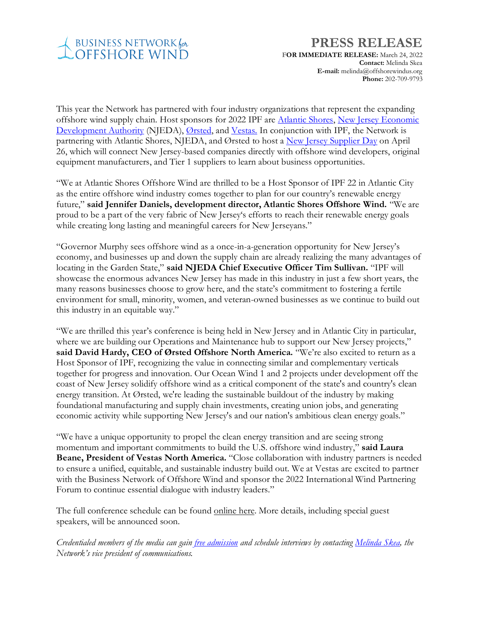

## **PRESS RELEASE**

**FOR IMMEDIATE RELEASE:** March 24, 2022 **Contact:** Melinda Skea **E-mail:** melinda@offshorewindus.org **Phone:** 202-709-9793

This year the Network has partnered with four industry organizations that represent the expanding offshore wind supply chain. Host sponsors for 2022 IPF are [Atlantic Shores,](https://www.atlanticshoreswind.com/) [New Jersey Economic](https://www.njeda.com/offshorewind/)  [Development Authority](https://www.njeda.com/offshorewind/) (NJEDA), [Ørsted,](https://us.orsted.com/) an[d Vestas.](https://us.vestas.com/en-us) In conjunction with IPF, the Network is partnering with Atlantic Shores, NJEDA, and Ørsted to host a [New Jersey Supplier Day](https://www.offshorewindus.org/2022ipf/njsupplierday/) on April 26, which will connect New Jersey-based companies directly with offshore wind developers, original equipment manufacturers, and Tier 1 suppliers to learn about business opportunities.

"We at Atlantic Shores Offshore Wind are thrilled to be a Host Sponsor of IPF 22 in Atlantic City as the entire offshore wind industry comes together to plan for our country's renewable energy future," **said Jennifer Daniels, development director, Atlantic Shores Offshore Wind.** "We are proud to be a part of the very fabric of New Jersey's efforts to reach their renewable energy goals while creating long lasting and meaningful careers for New Jerseyans."

"Governor Murphy sees offshore wind as a once-in-a-generation opportunity for New Jersey's economy, and businesses up and down the supply chain are already realizing the many advantages of locating in the Garden State," **said NJEDA Chief Executive Officer Tim Sullivan.** "IPF will showcase the enormous advances New Jersey has made in this industry in just a few short years, the many reasons businesses choose to grow here, and the state's commitment to fostering a fertile environment for small, minority, women, and veteran-owned businesses as we continue to build out this industry in an equitable way."

"We are thrilled this year's conference is being held in New Jersey and in Atlantic City in particular, where we are building our Operations and Maintenance hub to support our New Jersey projects," **said David Hardy, CEO of Ørsted Offshore North America.** "We're also excited to return as a Host Sponsor of IPF, recognizing the value in connecting similar and complementary verticals together for progress and innovation. Our Ocean Wind 1 and 2 projects under development off the coast of New Jersey solidify offshore wind as a critical component of the state's and country's clean energy transition. At Ørsted, we're leading the sustainable buildout of the industry by making foundational manufacturing and supply chain investments, creating union jobs, and generating economic activity while supporting New Jersey's and our nation's ambitious clean energy goals."

"We have a unique opportunity to propel the clean energy transition and are seeing strong momentum and important commitments to build the U.S. offshore wind industry," **said Laura Beane, President of Vestas North America.** "Close collaboration with industry partners is needed to ensure a unified, equitable, and sustainable industry build out. We at Vestas are excited to partner with the Business Network of Offshore Wind and sponsor the 2022 International Wind Partnering Forum to continue essential dialogue with industry leaders."

The full conference schedule can be found [online here.](https://web.cvent.com/event/6b1e6691-8829-4992-b09f-2c7d1dd6aa62/websitePage:2f2050c3-4200-49c4-bf57-90972547da18) More details, including special guest speakers, will be announced soon.

*Credentialed members of the media can gain [free admission](https://www.offshorewindus.org/2022ipf/press/) and schedule interviews by contacting [Melinda Skea,](mailto:melinda@offshorewindus.org?subject=IPF%20Press%20Registration) the Network's vice president of communications.*